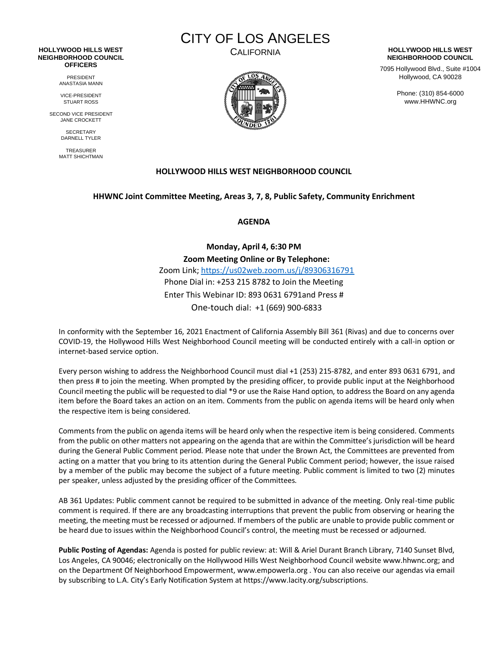#### **HOLLYWOOD HILLS WEST NEIGHBORHOOD COUNCIL OFFICERS**

PRESIDENT ANASTASIA MANN

VICE-PRESIDENT STUART ROSS

SECOND VICE PRESIDENT JANE CROCKETT

> **SECRETARY** DARNELL TYLER

TREASURER MATT SHICHTMAN

# CITY OF LOS ANGELES



#### CALIFORNIA **HOLLYWOOD HILLS WEST NEIGHBORHOOD COUNCIL**

7095 Hollywood Blvd., Suite #1004 Hollywood, CA 90028

> Phone: (310) 854-6000 www.HHWNC.org

# **HOLLYWOOD HILLS WEST NEIGHBORHOOD COUNCIL**

## **HHWNC Joint Committee Meeting, Areas 3, 7, 8, Public Safety, Community Enrichment**

**AGENDA**

**Monday, April 4, 6:30 PM Zoom Meeting Online or By Telephone:** Zoom Link;<https://us02web.zoom.us/j/89306316791> Phone Dial in: +253 215 8782 to Join the Meeting Enter This Webinar ID: 893 0631 6791and Press # One-touch dial: +1 (669) 900-6833

In conformity with the September 16, 2021 Enactment of California Assembly Bill 361 (Rivas) and due to concerns over COVID-19, the Hollywood Hills West Neighborhood Council meeting will be conducted entirely with a call-in option or internet-based service option.

Every person wishing to address the Neighborhood Council must dial +1 (253) 215-8782, and enter 893 0631 6791, and then press # to join the meeting. When prompted by the presiding officer, to provide public input at the Neighborhood Council meeting the public will be requested to dial \*9 or use the Raise Hand option, to address the Board on any agenda item before the Board takes an action on an item. Comments from the public on agenda items will be heard only when the respective item is being considered.

Comments from the public on agenda items will be heard only when the respective item is being considered. Comments from the public on other matters not appearing on the agenda that are within the Committee's jurisdiction will be heard during the General Public Comment period. Please note that under the Brown Act, the Committees are prevented from acting on a matter that you bring to its attention during the General Public Comment period; however, the issue raised by a member of the public may become the subject of a future meeting. Public comment is limited to two (2) minutes per speaker, unless adjusted by the presiding officer of the Committees.

AB 361 Updates: Public comment cannot be required to be submitted in advance of the meeting. Only real-time public comment is required. If there are any broadcasting interruptions that prevent the public from observing or hearing the meeting, the meeting must be recessed or adjourned. If members of the public are unable to provide public comment or be heard due to issues within the Neighborhood Council's control, the meeting must be recessed or adjourned.

**Public Posting of Agendas:** Agenda is posted for public review: at: Will & Ariel Durant Branch Library, 7140 Sunset Blvd, Los Angeles, CA 90046; electronically on the Hollywood Hills West Neighborhood Council website www.hhwnc.org; and on the Department Of Neighborhood Empowerment, www.empowerla.org . You can also receive our agendas via email by subscribing to L.A. City's Early Notification System at https://www.lacity.org/subscriptions.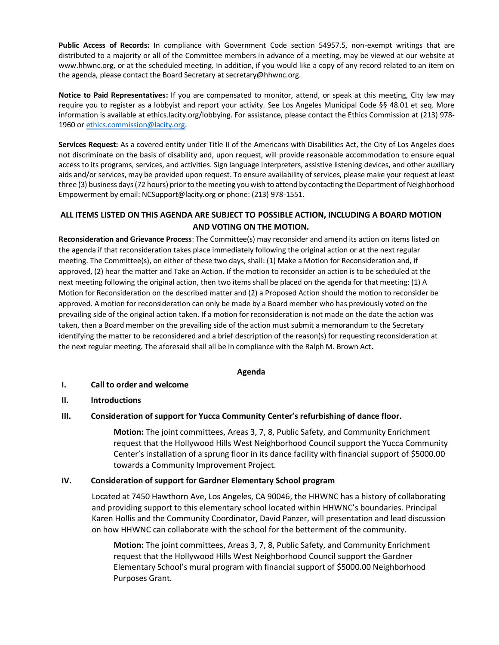**Public Access of Records:** In compliance with Government Code section 54957.5, non-exempt writings that are distributed to a majority or all of the Committee members in advance of a meeting, may be viewed at our website at www.hhwnc.org, or at the scheduled meeting. In addition, if you would like a copy of any record related to an item on the agenda, please contact the Board Secretary a[t secretary@hhwnc.org.](mailto:secretary@hhwnc.org)

**Notice to Paid Representatives:** If you are compensated to monitor, attend, or speak at this meeting, City law may require you to register as a lobbyist and report your activity. See Los Angeles Municipal Code §§ 48.01 et seq. More information is available at ethics.lacity.org/lobbying. For assistance, please contact the Ethics Commission at (213) 978 1960 o[r ethics.commission@lacity.org.](mailto:ethics.commission@lacity.org)

**Services Request:** As a covered entity under Title II of the Americans with Disabilities Act, the City of Los Angeles does not discriminate on the basis of disability and, upon request, will provide reasonable accommodation to ensure equal access to its programs, services, and activities. Sign language interpreters, assistive listening devices, and other auxiliary aids and/or services, may be provided upon request. To ensure availability of services, please make your request at least three (3) business days (72 hours) prior to the meeting you wish to attend by contacting the Department of Neighborhood Empowerment by email: NCSupport@lacity.org or phone: (213) 978-1551.

# **ALL ITEMS LISTED ON THIS AGENDA ARE SUBJECT TO POSSIBLE ACTION, INCLUDING A BOARD MOTION AND VOTING ON THE MOTION.**

**Reconsideration and Grievance Process**: The Committee(s) may reconsider and amend its action on items listed on the agenda if that reconsideration takes place immediately following the original action or at the next regular meeting. The Committee(s), on either of these two days, shall: (1) Make a Motion for Reconsideration and, if approved, (2) hear the matter and Take an Action. If the motion to reconsider an action is to be scheduled at the next meeting following the original action, then two items shall be placed on the agenda for that meeting: (1) A Motion for Reconsideration on the described matter and (2) a Proposed Action should the motion to reconsider be approved. A motion for reconsideration can only be made by a Board member who has previously voted on the prevailing side of the original action taken. If a motion for reconsideration is not made on the date the action was taken, then a Board member on the prevailing side of the action must submit a memorandum to the Secretary identifying the matter to be reconsidered and a brief description of the reason(s) for requesting reconsideration at the next regular meeting. The aforesaid shall all be in compliance with the Ralph M. Brown Act**.**

## **Agenda**

## **I. Call to order and welcome**

## **II. Introductions**

# **III. Consideration of support for Yucca Community Center's refurbishing of dance floor.**

**Motion:** The joint committees, Areas 3, 7, 8, Public Safety, and Community Enrichment request that the Hollywood Hills West Neighborhood Council support the Yucca Community Center's installation of a sprung floor in its dance facility with financial support of \$5000.00 towards a Community Improvement Project.

## **IV. Consideration of support for Gardner Elementary School program**

Located at 7450 Hawthorn Ave, Los Angeles, CA 90046, the HHWNC has a history of collaborating and providing support to this elementary school located within HHWNC's boundaries. Principal Karen Hollis and the Community Coordinator, David Panzer, will presentation and lead discussion on how HHWNC can collaborate with the school for the betterment of the community.

**Motion:** The joint committees, Areas 3, 7, 8, Public Safety, and Community Enrichment request that the Hollywood Hills West Neighborhood Council support the Gardner Elementary School's mural program with financial support of \$5000.00 Neighborhood Purposes Grant.